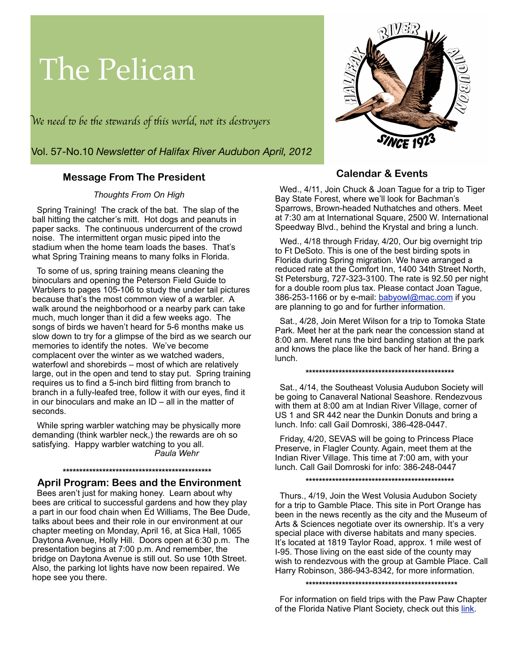# The Pelican

W*e need* " *be* #*e s*\$*wards of* #*is world, not its des*%*oyer*s

Vol. 57-No.10 *Newsletter of Halifax River Audubon April, 2012*

## **Message From The President**

*Thoughts From On High*

Spring Training! The crack of the bat. The slap of the ball hitting the catcher's mitt. Hot dogs and peanuts in paper sacks. The continuous undercurrent of the crowd noise. The intermittent organ music piped into the stadium when the home team loads the bases. That's what Spring Training means to many folks in Florida.

 To some of us, spring training means cleaning the binoculars and opening the Peterson Field Guide to Warblers to pages 105-106 to study the under tail pictures because that's the most common view of a warbler. A walk around the neighborhood or a nearby park can take much, much longer than it did a few weeks ago. The songs of birds we haven't heard for 5-6 months make us slow down to try for a glimpse of the bird as we search our memories to identify the notes. We've become complacent over the winter as we watched waders, waterfowl and shorebirds – most of which are relatively large, out in the open and tend to stay put. Spring training requires us to find a 5-inch bird flitting from branch to branch in a fully-leafed tree, follow it with our eyes, find it in our binoculars and make an ID – all in the matter of seconds.

 While spring warbler watching may be physically more demanding (think warbler neck,) the rewards are oh so satisfying. Happy warbler watching to you all. *Paula Wehr*

## **\*\*\*\*\*\*\*\*\*\*\*\*\*\*\*\*\*\*\*\*\*\*\*\*\*\*\*\*\*\*\*\*\*\*\*\*\*\*\*\*\*\*\*\*\***

 **April Program: Bees and the Environment**

Bees aren't just for making honey. Learn about why bees are critical to successful gardens and how they play a part in our food chain when Ed Williams, The Bee Dude, talks about bees and their role in our environment at our chapter meeting on Monday, April 16, at Sica Hall, 1065 Daytona Avenue, Holly Hill. Doors open at 6:30 p.m. The presentation begins at 7:00 p.m. And remember, the bridge on Daytona Avenue is still out. So use 10th Street. Also, the parking lot lights have now been repaired. We hope see you there.



## **Calendar & Events**

 Wed., 4/11, Join Chuck & Joan Tague for a trip to Tiger Bay State Forest, where we'll look for Bachman's Sparrows, Brown-headed Nuthatches and others. Meet at 7:30 am at International Square, 2500 W. International Speedway Blvd., behind the Krystal and bring a lunch.

 Wed., 4/18 through Friday, 4/20, Our big overnight trip to Ft DeSoto. This is one of the best birding spots in Florida during Spring migration. We have arranged a reduced rate at the Comfort Inn, 1400 34th Street North, St Petersburg, 727-323-3100. The rate is 92.50 per night for a double room plus tax. Please contact Joan Tague, 386-253-1166 or by e-mail: [babyowl@mac.com](mailto:babyowl@mac.com) if you are planning to go and for further information.

 Sat., 4/28, Join Meret Wilson for a trip to Tomoka State Park. Meet her at the park near the concession stand at 8:00 am. Meret runs the bird banding station at the park and knows the place like the back of her hand. Bring a lunch.

#### **\*\*\*\*\*\*\*\*\*\*\*\*\*\*\*\*\*\*\*\*\*\*\*\*\*\*\*\*\*\*\*\*\*\*\*\*\*\*\*\*\*\*\*\*\***

Sat., 4/14, the Southeast Volusia Audubon Society will be going to Canaveral National Seashore. Rendezvous with them at 8:00 am at Indian River Village, corner of US 1 and SR 442 near the Dunkin Donuts and bring a lunch. Info: call Gail Domroski, 386-428-0447.

 Friday, 4/20, SEVAS will be going to Princess Place Preserve, in Flagler County. Again, meet them at the Indian River Village. This time at 7:00 am, with your lunch. Call Gail Domroski for info: 386-248-0447

 **\*\*\*\*\*\*\*\*\*\*\*\*\*\*\*\*\*\*\*\*\*\*\*\*\*\*\*\*\*\*\*\*\*\*\*\*\*\*\*\*\*\*\*\*\***

Thurs., 4/19, Join the West Volusia Audubon Society for a trip to Gamble Place. This site in Port Orange has been in the news recently as the city and the Museum of Arts & Sciences negotiate over its ownership. It's a very special place with diverse habitats and many species. It's located at 1819 Taylor Road, approx. 1 mile west of I-95. Those living on the east side of the county may wish to rendezvous with the group at Gamble Place. Call Harry Robinson, 386-943-8342, for more information.

 **\*\*\*\*\*\*\*\*\*\*\*\*\*\*\*\*\*\*\*\*\*\*\*\*\*\*\*\*\*\*\*\*\*\*\*\*\*\*\*\*\*\*\*\*\*\***

 For information on field trips with the Paw Paw Chapter of the Florida Native Plant Society, check out this [link.](http://sites.google.com/site/fnpspawpawchapter/calendar)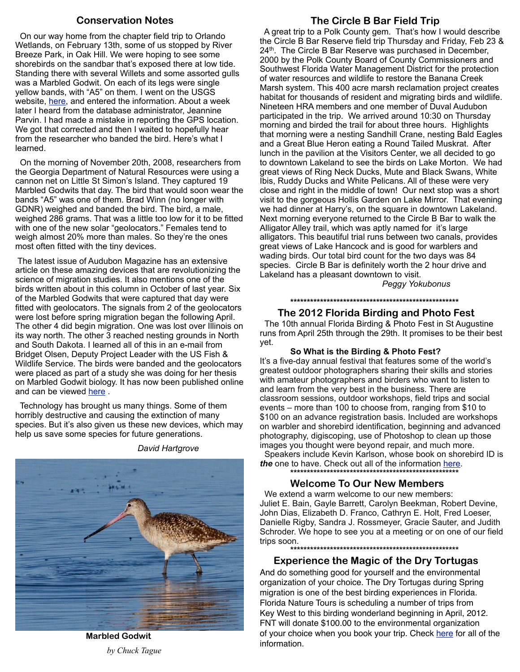## **Conservation Notes**

 On our way home from the chapter field trip to Orlando Wetlands, on February 13th, some of us stopped by River Breeze Park, in Oak Hill. We were hoping to see some shorebirds on the sandbar that's exposed there at low tide. Standing there with several Willets and some assorted gulls was a Marbled Godwit. On each of its legs were single yellow bands, with "A5" on them. I went on the USGS website, [here,](http://www.reportband.gov) and entered the information. About a week later I heard from the database administrator, Jeannine Parvin. I had made a mistake in reporting the GPS location. We got that corrected and then I waited to hopefully hear from the researcher who banded the bird. Here's what I learned.

 On the morning of November 20th, 2008, researchers from the Georgia Department of Natural Resources were using a cannon net on Little St Simon's Island. They captured 19 Marbled Godwits that day. The bird that would soon wear the bands "A5" was one of them. Brad Winn (no longer with GDNR) weighed and banded the bird. The bird, a male, weighed 286 grams. That was a little too low for it to be fitted with one of the new solar "geolocators." Females tend to weigh almost 20% more than males. So they're the ones most often fitted with the tiny devices.

 The latest issue of Audubon Magazine has an extensive article on these amazing devices that are revolutionizing the science of migration studies. It also mentions one of the birds written about in this column in October of last year. Six of the Marbled Godwits that were captured that day were fitted with geolocators. The signals from 2 of the geolocators were lost before spring migration began the following April. The other 4 did begin migration. One was lost over Illinois on its way north. The other 3 reached nesting grounds in North and South Dakota. I learned all of this in an e-mail from Bridget Olsen, Deputy Project Leader with the US Fish & Wildlife Service. The birds were banded and the geolocators were placed as part of a study she was doing for her thesis on Marbled Godwit biology. It has now been published online and can be viewed here.

 Technology has brought us many things. Some of them horribly destructive and causing the extinction of many species. But it's also given us these new devices, which may help us save some species for future generations.

*David Hartgrove*

## **The Circle B Bar Field Trip**

 A great trip to a Polk County gem. That's how I would describe the Circle B Bar Reserve field trip Thursday and Friday, Feb 23 & 24<sup>th</sup>. The Circle B Bar Reserve was purchased in December, 2000 by the Polk County Board of County Commissioners and Southwest Florida Water Management District for the protection of water resources and wildlife to restore the Banana Creek Marsh system. This 400 acre marsh reclamation project creates habitat for thousands of resident and migrating birds and wildlife. Nineteen HRA members and one member of Duval Audubon participated in the trip. We arrived around 10:30 on Thursday morning and birded the trail for about three hours. Highlights that morning were a nesting Sandhill Crane, nesting Bald Eagles and a Great Blue Heron eating a Round Tailed Muskrat. After lunch in the pavilion at the Visitors Center, we all decided to go to downtown Lakeland to see the birds on Lake Morton. We had great views of Ring Neck Ducks, Mute and Black Swans, White Ibis, Ruddy Ducks and White Pelicans. All of these were very close and right in the middle of town! Our next stop was a short visit to the gorgeous Hollis Garden on Lake Mirror. That evening we had dinner at Harry's, on the square in downtown Lakeland. Next morning everyone returned to the Circle B Bar to walk the Alligator Alley trail, which was aptly named for it's large alligators. This beautiful trial runs between two canals, provides great views of Lake Hancock and is good for warblers and wading birds. Our total bird count for the two days was 84 species. Circle B Bar is definitely worth the 2 hour drive and Lakeland has a pleasant downtown to visit.

*Peggy Yokubonus*

#### **\*\*\*\*\*\*\*\*\*\*\*\*\*\*\*\*\*\*\*\*\*\*\*\*\*\*\*\*\*\*\*\*\*\*\*\*\*\*\*\*\*\*\*\*\*\*\*\*\*\*\***

## **The 2012 Florida Birding and Photo Fest**

The 10th annual Florida Birding & Photo Fest in St Augustine runs from April 25th through the 29th. It promises to be their best yet.

**So What is the Birding & Photo Fest?**

It's a five-day annual festival that features some of the world's greatest outdoor photographers sharing their skills and stories with amateur photographers and birders who want to listen to and learn from the very best in the business. There are classroom sessions, outdoor workshops, field trips and social events – more than 100 to choose from, ranging from \$10 to \$100 on an advance registration basis. Included are workshops on warbler and shorebird identification, beginning and advanced photography, digiscoping, use of Photoshop to clean up those images you thought were beyond repair, and much more. Speakers include Kevin Karlson, whose book on shorebird ID is *the* one to have. Check out all of the information [here.](http://www.FloridasBirdingandPhotoFest.com)  **\*\*\*\*\*\*\*\*\*\*\*\*\*\*\*\*\*\*\*\*\*\*\*\*\*\*\*\*\*\*\*\*\*\*\*\*\*\*\*\*\*\*\*\*\*\*\*\*\*\*\***

## **Welcome To Our New Members**

 We extend a warm welcome to our new members: Juliet E. Bain, Gayle Barrett, Carolyn Beekman, Robert Devine, John Dias, Elizabeth D. Franco, Cathryn E. Holt, Fred Loeser, Danielle Rigby, Sandra J. Rossmeyer, Gracie Sauter, and Judith Schroder. We hope to see you at a meeting or on one of our field trips soon.

 **\*\*\*\*\*\*\*\*\*\*\*\*\*\*\*\*\*\*\*\*\*\*\*\*\*\*\*\*\*\*\*\*\*\*\*\*\*\*\*\*\*\*\*\*\*\*\*\*\*\*\***

 **Experience the Magic of the Dry Tortugas** And do something good for yourself and the environmental organization of your choice. The Dry Tortugas during Spring migration is one of the best birding experiences in Florida.

Florida Nature Tours is scheduling a number of trips from Key West to this birding wonderland beginning in April, 2012. FNT will donate \$100.00 to the environmental organization of your choice when you book your trip. Check [here](http://floridanaturetours.net/) for all of the information.

 **Marbled Godwit** *by Chuck Tague*